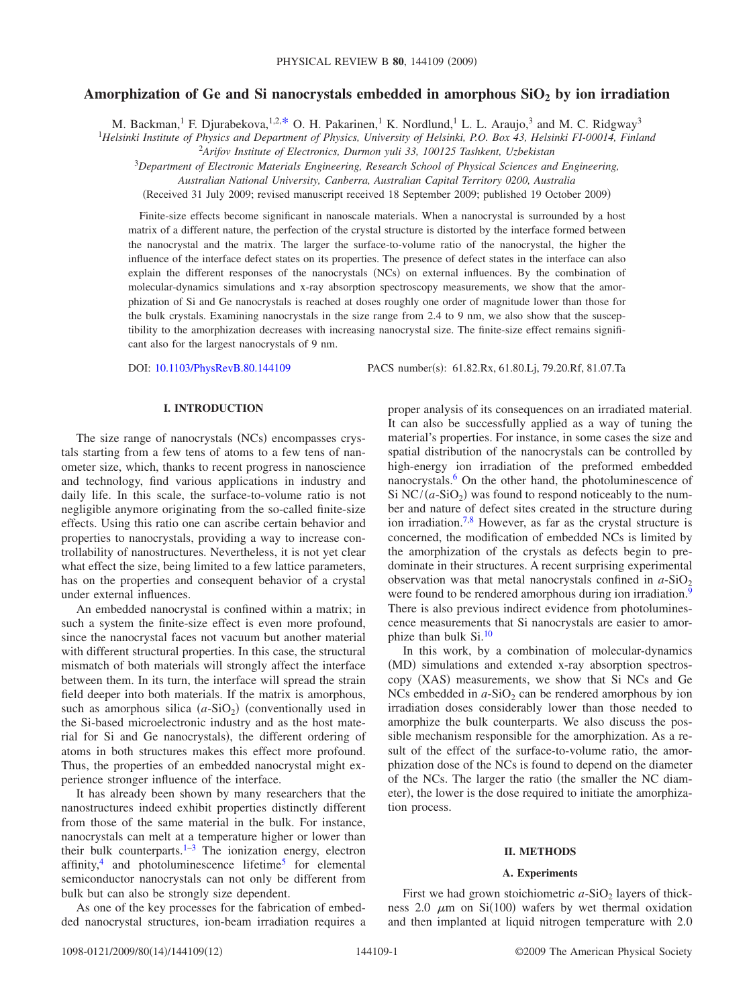# Amorphization of Ge and Si nanocrystals embedded in amorphous  $SiO<sub>2</sub>$  by ion irradiation

M. Backman,<sup>1</sup> F. Djurabekova,<sup>1,2[,\\*](#page-11-0)</sup> O. H. Pakarinen,<sup>1</sup> K. Nordlund,<sup>1</sup> L. L. Araujo,<sup>3</sup> and M. C. Ridgway<sup>3</sup>

1 *Helsinki Institute of Physics and Department of Physics, University of Helsinki, P.O. Box 43, Helsinki FI-00014, Finland*

2 *Arifov Institute of Electronics, Durmon yuli 33, 100125 Tashkent, Uzbekistan*

<sup>3</sup>*Department of Electronic Materials Engineering, Research School of Physical Sciences and Engineering,*

*Australian National University, Canberra, Australian Capital Territory 0200, Australia*

Received 31 July 2009; revised manuscript received 18 September 2009; published 19 October 2009-

Finite-size effects become significant in nanoscale materials. When a nanocrystal is surrounded by a host matrix of a different nature, the perfection of the crystal structure is distorted by the interface formed between the nanocrystal and the matrix. The larger the surface-to-volume ratio of the nanocrystal, the higher the influence of the interface defect states on its properties. The presence of defect states in the interface can also explain the different responses of the nanocrystals (NCs) on external influences. By the combination of molecular-dynamics simulations and x-ray absorption spectroscopy measurements, we show that the amorphization of Si and Ge nanocrystals is reached at doses roughly one order of magnitude lower than those for the bulk crystals. Examining nanocrystals in the size range from 2.4 to 9 nm, we also show that the susceptibility to the amorphization decreases with increasing nanocrystal size. The finite-size effect remains significant also for the largest nanocrystals of 9 nm.

DOI: [10.1103/PhysRevB.80.144109](http://dx.doi.org/10.1103/PhysRevB.80.144109)

PACS number(s): 61.82.Rx, 61.80.Lj, 79.20.Rf, 81.07.Ta

## **I. INTRODUCTION**

The size range of nanocrystals (NCs) encompasses crystals starting from a few tens of atoms to a few tens of nanometer size, which, thanks to recent progress in nanoscience and technology, find various applications in industry and daily life. In this scale, the surface-to-volume ratio is not negligible anymore originating from the so-called finite-size effects. Using this ratio one can ascribe certain behavior and properties to nanocrystals, providing a way to increase controllability of nanostructures. Nevertheless, it is not yet clear what effect the size, being limited to a few lattice parameters, has on the properties and consequent behavior of a crystal under external influences.

An embedded nanocrystal is confined within a matrix; in such a system the finite-size effect is even more profound, since the nanocrystal faces not vacuum but another material with different structural properties. In this case, the structural mismatch of both materials will strongly affect the interface between them. In its turn, the interface will spread the strain field deeper into both materials. If the matrix is amorphous, such as amorphous silica  $(a-SiO<sub>2</sub>)$  (conventionally used in the Si-based microelectronic industry and as the host material for Si and Ge nanocrystals), the different ordering of atoms in both structures makes this effect more profound. Thus, the properties of an embedded nanocrystal might experience stronger influence of the interface.

It has already been shown by many researchers that the nanostructures indeed exhibit properties distinctly different from those of the same material in the bulk. For instance, nanocrystals can melt at a temperature higher or lower than their bulk counterparts. $1-3$  $1-3$  The ionization energy, electron affinity, $4$  and photoluminescence lifetime<sup>5</sup> for elemental semiconductor nanocrystals can not only be different from bulk but can also be strongly size dependent.

As one of the key processes for the fabrication of embedded nanocrystal structures, ion-beam irradiation requires a proper analysis of its consequences on an irradiated material. It can also be successfully applied as a way of tuning the material's properties. For instance, in some cases the size and spatial distribution of the nanocrystals can be controlled by high-energy ion irradiation of the preformed embedded nanocrystals. $\frac{6}{5}$  On the other hand, the photoluminescence of Si  $NC/(a-SiO_2)$  was found to respond noticeably to the number and nature of defect sites created in the structure during ion irradiation.<sup>7,[8](#page-11-7)</sup> However, as far as the crystal structure is concerned, the modification of embedded NCs is limited by the amorphization of the crystals as defects begin to predominate in their structures. A recent surprising experimental observation was that metal nanocrystals confined in  $a$ -SiO<sub>2</sub> were found to be rendered amorphous during ion irradiation.<sup>9</sup> There is also previous indirect evidence from photoluminescence measurements that Si nanocrystals are easier to amorphize than bulk Si.<sup>10</sup>

In this work, by a combination of molecular-dynamics (MD) simulations and extended x-ray absorption spectroscopy (XAS) measurements, we show that Si NCs and Ge NCs embedded in  $a$ -SiO<sub>2</sub> can be rendered amorphous by ion irradiation doses considerably lower than those needed to amorphize the bulk counterparts. We also discuss the possible mechanism responsible for the amorphization. As a result of the effect of the surface-to-volume ratio, the amorphization dose of the NCs is found to depend on the diameter of the NCs. The larger the ratio (the smaller the NC diameter), the lower is the dose required to initiate the amorphization process.

### **II. METHODS**

### **A. Experiments**

<span id="page-0-1"></span><span id="page-0-0"></span>First we had grown stoichiometric  $a$ -SiO<sub>2</sub> layers of thickness 2.0  $\mu$ m on Si(100) wafers by wet thermal oxidation and then implanted at liquid nitrogen temperature with 2.0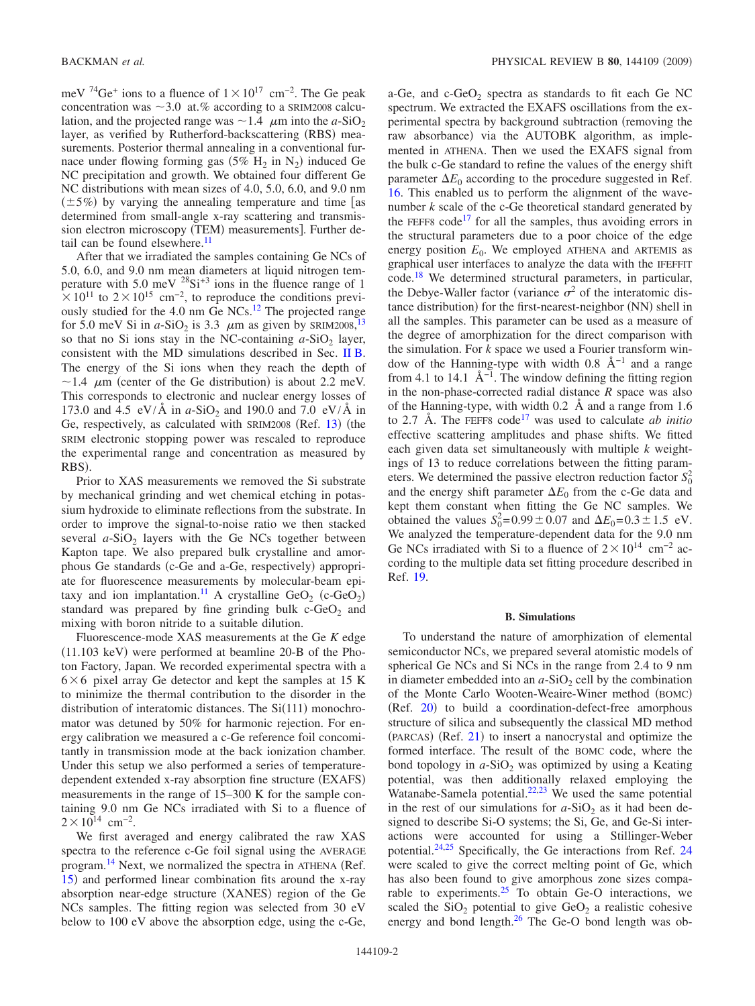meV <sup>74</sup>Ge<sup>+</sup> ions to a fluence of  $1 \times 10^{17}$  cm<sup>-2</sup>. The Ge peak concentration was  $\sim$ 3.0 at.% according to a SRIM2008 calculation, and the projected range was  $\sim 1.4$   $\mu$ m into the *a*-SiO<sub>2</sub> layer, as verified by Rutherford-backscattering (RBS) measurements. Posterior thermal annealing in a conventional furnace under flowing forming gas  $(5\% \text{ H}_2 \text{ in } \text{N}_2)$  induced Ge NC precipitation and growth. We obtained four different Ge NC distributions with mean sizes of 4.0, 5.0, 6.0, and 9.0 nm  $(\pm 5\%)$  by varying the annealing temperature and time [as determined from small-angle x-ray scattering and transmission electron microscopy (TEM) measurements]. Further detail can be found elsewhere. $\frac{11}{1}$ 

After that we irradiated the samples containing Ge NCs of 5.0, 6.0, and 9.0 nm mean diameters at liquid nitrogen temperature with 5.0 meV  $^{28}Si^{+3}$  ions in the fluence range of 1  $\times 10^{11}$  to 2 × 10<sup>15</sup> cm<sup>-2</sup>, to reproduce the conditions previously studied for the 4.0 nm Ge  $NCs$ .<sup>12</sup> The projected range for 5.0 meV Si in  $a$ -SiO<sub>2</sub> is 3.3  $\mu$ m as given by SRIM2008,<sup>[13](#page-11-12)</sup> so that no Si ions stay in the NC-containing  $a$ -SiO<sub>2</sub> layer, consistent with the MD simulations described in Sec. [II B.](#page-1-0) The energy of the Si ions when they reach the depth of ~1.4  $\mu$ m (center of the Ge distribution) is about 2.2 meV. This corresponds to electronic and nuclear energy losses of 173.0 and 4.5 eV/ $\AA$  in *a*-SiO<sub>2</sub> and 190.0 and 7.0 eV/ $\AA$  in Ge, respectively, as calculated with SRIM2008 (Ref. [13](#page-11-12)) (the SRIM electronic stopping power was rescaled to reproduce the experimental range and concentration as measured by RBS).

Prior to XAS measurements we removed the Si substrate by mechanical grinding and wet chemical etching in potassium hydroxide to eliminate reflections from the substrate. In order to improve the signal-to-noise ratio we then stacked several  $a-SiO<sub>2</sub>$  layers with the Ge NCs together between Kapton tape. We also prepared bulk crystalline and amorphous Ge standards (c-Ge and a-Ge, respectively) appropriate for fluorescence measurements by molecular-beam epitaxy and ion implantation.<sup>11</sup> A crystalline  $GeO_2$  (c-GeO<sub>2</sub>) standard was prepared by fine grinding bulk  $c$ -GeO<sub>2</sub> and mixing with boron nitride to a suitable dilution.

Fluorescence-mode XAS measurements at the Ge *K* edge  $(11.103 \text{ keV})$  were performed at beamline 20-B of the Photon Factory, Japan. We recorded experimental spectra with a  $6\times 6$  pixel array Ge detector and kept the samples at 15 K to minimize the thermal contribution to the disorder in the distribution of interatomic distances. The  $Si(111)$  monochromator was detuned by 50% for harmonic rejection. For energy calibration we measured a c-Ge reference foil concomitantly in transmission mode at the back ionization chamber. Under this setup we also performed a series of temperaturedependent extended x-ray absorption fine structure (EXAFS) measurements in the range of 15–300 K for the sample containing 9.0 nm Ge NCs irradiated with Si to a fluence of  $2 \times 10^{14}$  cm<sup>-2</sup>.

We first averaged and energy calibrated the raw XAS spectra to the reference c-Ge foil signal using the AVERAGE program.<sup>14</sup> Next, we normalized the spectra in ATHENA (Ref. [15](#page-11-14)) and performed linear combination fits around the x-ray absorption near-edge structure (XANES) region of the Ge NCs samples. The fitting region was selected from 30 eV below to 100 eV above the absorption edge, using the c-Ge,

a-Ge, and  $c$ -GeO<sub>2</sub> spectra as standards to fit each Ge NC spectrum. We extracted the EXAFS oscillations from the experimental spectra by background subtraction (removing the raw absorbance) via the AUTOBK algorithm, as implemented in ATHENA. Then we used the EXAFS signal from the bulk c-Ge standard to refine the values of the energy shift parameter  $\Delta E_0$  according to the procedure suggested in Ref. [16.](#page-11-15) This enabled us to perform the alignment of the wavenumber *k* scale of the c-Ge theoretical standard generated by the FEFF8 code<sup>17</sup> for all the samples, thus avoiding errors in the structural parameters due to a poor choice of the edge energy position  $E_0$ . We employed ATHENA and ARTEMIS as graphical user interfaces to analyze the data with the IFEFFIT code[.18](#page-11-17) We determined structural parameters, in particular, the Debye-Waller factor (variance  $\sigma^2$  of the interatomic distance distribution) for the first-nearest-neighbor (NN) shell in all the samples. This parameter can be used as a measure of the degree of amorphization for the direct comparison with the simulation. For *k* space we used a Fourier transform window of the Hanning-type with width 0.8  $A^{-1}$  and a range from 4.1 to 14.1 Å<sup> $-1$ </sup>. The window defining the fitting region in the non-phase-corrected radial distance *R* space was also of the Hanning-type, with width 0.2 Å and a range from 1.6 to 2.7 Å. The FEFF8 code<sup>17</sup> was used to calculate *ab initio* effective scattering amplitudes and phase shifts. We fitted each given data set simultaneously with multiple *k* weightings of 13 to reduce correlations between the fitting parameters. We determined the passive electron reduction factor  $S_0^2$ and the energy shift parameter  $\Delta E_0$  from the c-Ge data and kept them constant when fitting the Ge NC samples. We obtained the values  $S_0^2 = 0.99 \pm 0.07$  and  $\Delta E_0 = 0.3 \pm 1.5$  eV. We analyzed the temperature-dependent data for the 9.0 nm Ge NCs irradiated with Si to a fluence of  $2 \times 10^{14}$  cm<sup>-2</sup> according to the multiple data set fitting procedure described in Ref. [19.](#page-11-18)

#### **B. Simulations**

<span id="page-1-0"></span>To understand the nature of amorphization of elemental semiconductor NCs, we prepared several atomistic models of spherical Ge NCs and Si NCs in the range from 2.4 to 9 nm in diameter embedded into an  $a$ -SiO<sub>2</sub> cell by the combination of the Monte Carlo Wooten-Weaire-Winer method (BOMC) (Ref. [20](#page-11-19)) to build a coordination-defect-free amorphous structure of silica and subsequently the classical MD method  $(PARCAS)$  (Ref. [21](#page-11-20)) to insert a nanocrystal and optimize the formed interface. The result of the BOMC code, where the bond topology in  $a$ -SiO<sub>2</sub> was optimized by using a Keating potential, was then additionally relaxed employing the Watanabe-Samela potential. $22,23$  $22,23$  We used the same potential in the rest of our simulations for  $a$ -SiO<sub>2</sub> as it had been designed to describe Si-O systems; the Si, Ge, and Ge-Si interactions were accounted for using a Stillinger-Weber potential. $24,25$  $24,25$  Specifically, the Ge interactions from Ref. [24](#page-11-23) were scaled to give the correct melting point of Ge, which has also been found to give amorphous zone sizes comparable to experiments. $25$  To obtain Ge-O interactions, we scaled the  $SiO<sub>2</sub>$  potential to give  $GeO<sub>2</sub>$  a realistic cohesive energy and bond length. $^{26}$  The Ge-O bond length was ob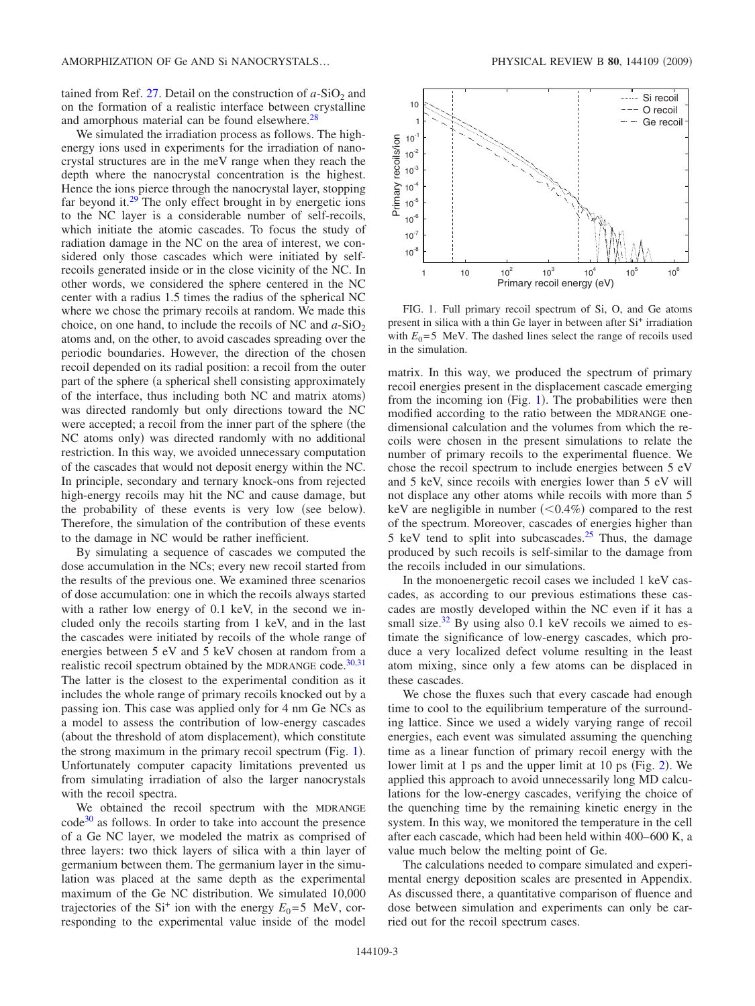tained from Ref.  $27$ . Detail on the construction of  $a$ -SiO<sub>2</sub> and on the formation of a realistic interface between crystalline and amorphous material can be found elsewhere.<sup>28</sup>

We simulated the irradiation process as follows. The highenergy ions used in experiments for the irradiation of nanocrystal structures are in the meV range when they reach the depth where the nanocrystal concentration is the highest. Hence the ions pierce through the nanocrystal layer, stopping far beyond it. $29$  The only effect brought in by energetic ions to the NC layer is a considerable number of self-recoils, which initiate the atomic cascades. To focus the study of radiation damage in the NC on the area of interest, we considered only those cascades which were initiated by selfrecoils generated inside or in the close vicinity of the NC. In other words, we considered the sphere centered in the NC center with a radius 1.5 times the radius of the spherical NC where we chose the primary recoils at random. We made this choice, on one hand, to include the recoils of NC and  $a$ -SiO<sub>2</sub> atoms and, on the other, to avoid cascades spreading over the periodic boundaries. However, the direction of the chosen recoil depended on its radial position: a recoil from the outer part of the sphere (a spherical shell consisting approximately of the interface, thus including both NC and matrix atoms) was directed randomly but only directions toward the NC were accepted; a recoil from the inner part of the sphere (the NC atoms only) was directed randomly with no additional restriction. In this way, we avoided unnecessary computation of the cascades that would not deposit energy within the NC. In principle, secondary and ternary knock-ons from rejected high-energy recoils may hit the NC and cause damage, but the probability of these events is very low (see below). Therefore, the simulation of the contribution of these events to the damage in NC would be rather inefficient.

By simulating a sequence of cascades we computed the dose accumulation in the NCs; every new recoil started from the results of the previous one. We examined three scenarios of dose accumulation: one in which the recoils always started with a rather low energy of 0.1 keV, in the second we included only the recoils starting from 1 keV, and in the last the cascades were initiated by recoils of the whole range of energies between 5 eV and 5 keV chosen at random from a realistic recoil spectrum obtained by the MDRANGE code. $30,31$  $30,31$ The latter is the closest to the experimental condition as it includes the whole range of primary recoils knocked out by a passing ion. This case was applied only for 4 nm Ge NCs as a model to assess the contribution of low-energy cascades (about the threshold of atom displacement), which constitute the strong maximum in the primary recoil spectrum (Fig. [1](#page-2-0)). Unfortunately computer capacity limitations prevented us from simulating irradiation of also the larger nanocrystals with the recoil spectra.

We obtained the recoil spectrum with the MDRANGE  $code^{30}$  as follows. In order to take into account the presence of a Ge NC layer, we modeled the matrix as comprised of three layers: two thick layers of silica with a thin layer of germanium between them. The germanium layer in the simulation was placed at the same depth as the experimental maximum of the Ge NC distribution. We simulated 10,000 trajectories of the Si<sup>+</sup> ion with the energy  $E_0 = 5$  MeV, corresponding to the experimental value inside of the model

<span id="page-2-0"></span>

FIG. 1. Full primary recoil spectrum of Si, O, and Ge atoms present in silica with a thin Ge layer in between after Si<sup>+</sup> irradiation with  $E_0 = 5$  MeV. The dashed lines select the range of recoils used in the simulation.

matrix. In this way, we produced the spectrum of primary recoil energies present in the displacement cascade emerging from the incoming ion (Fig. [1](#page-2-0)). The probabilities were then modified according to the ratio between the MDRANGE onedimensional calculation and the volumes from which the recoils were chosen in the present simulations to relate the number of primary recoils to the experimental fluence. We chose the recoil spectrum to include energies between 5 eV and 5 keV, since recoils with energies lower than 5 eV will not displace any other atoms while recoils with more than 5 keV are negligible in number (<0.4%) compared to the rest of the spectrum. Moreover, cascades of energies higher than 5 keV tend to split into subcascades. $25$  Thus, the damage produced by such recoils is self-similar to the damage from the recoils included in our simulations.

In the monoenergetic recoil cases we included 1 keV cascades, as according to our previous estimations these cascades are mostly developed within the NC even if it has a small size. $32$  By using also 0.1 keV recoils we aimed to estimate the significance of low-energy cascades, which produce a very localized defect volume resulting in the least atom mixing, since only a few atoms can be displaced in these cascades.

We chose the fluxes such that every cascade had enough time to cool to the equilibrium temperature of the surrounding lattice. Since we used a widely varying range of recoil energies, each event was simulated assuming the quenching time as a linear function of primary recoil energy with the lower limit at 1 ps and the upper limit at 10 ps (Fig. [2](#page-3-0)). We applied this approach to avoid unnecessarily long MD calculations for the low-energy cascades, verifying the choice of the quenching time by the remaining kinetic energy in the system. In this way, we monitored the temperature in the cell after each cascade, which had been held within 400–600 K, a value much below the melting point of Ge.

The calculations needed to compare simulated and experimental energy deposition scales are presented in Appendix. As discussed there, a quantitative comparison of fluence and dose between simulation and experiments can only be carried out for the recoil spectrum cases.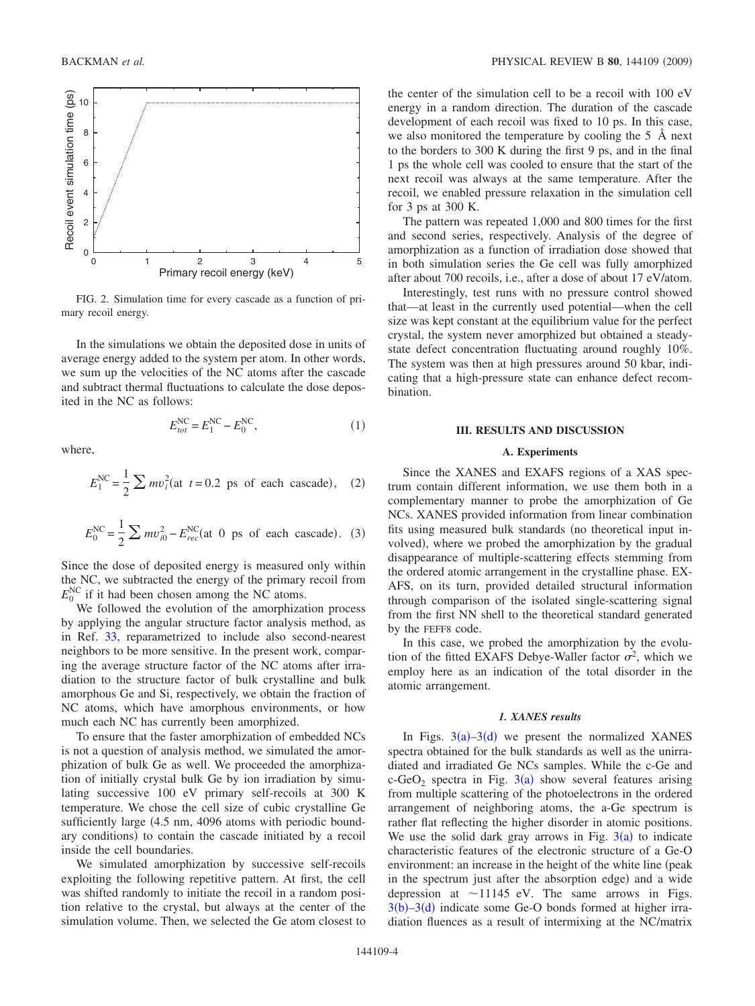<span id="page-3-0"></span>

FIG. 2. Simulation time for every cascade as a function of primary recoil energy.

In the simulations we obtain the deposited dose in units of average energy added to the system per atom. In other words, we sum up the velocities of the NC atoms after the cascade and subtract thermal fluctuations to calculate the dose deposited in the NC as follows:

$$
E_{tot}^{\text{NC}} = E_1^{\text{NC}} - E_0^{\text{NC}},\tag{1}
$$

where,

$$
E_1^{NC} = \frac{1}{2} \sum m v_i^2
$$
 (at  $t = 0.2$  ps of each cascade), (2)

$$
E_0^{\text{NC}} = \frac{1}{2} \sum m v_{i0}^2 - E_{rec}^{\text{NC}}(\text{at 0 ps of each cascade}).
$$
 (3)

Since the dose of deposited energy is measured only within the NC, we subtracted the energy of the primary recoil from  $E_0^{\text{NC}}$  if it had been chosen among the NC atoms.

We followed the evolution of the amorphization process by applying the angular structure factor analysis method, as in Ref. [33,](#page-11-32) reparametrized to include also second-nearest neighbors to be more sensitive. In the present work, comparing the average structure factor of the NC atoms after irradiation to the structure factor of bulk crystalline and bulk amorphous Ge and Si, respectively, we obtain the fraction of NC atoms, which have amorphous environments, or how much each NC has currently been amorphized.

To ensure that the faster amorphization of embedded NCs is not a question of analysis method, we simulated the amorphization of bulk Ge as well. We proceeded the amorphization of initially crystal bulk Ge by ion irradiation by simulating successive 100 eV primary self-recoils at 300 K temperature. We chose the cell size of cubic crystalline Ge sufficiently large (4.5 nm, 4096 atoms with periodic boundary conditions) to contain the cascade initiated by a recoil inside the cell boundaries.

We simulated amorphization by successive self-recoils exploiting the following repetitive pattern. At first, the cell was shifted randomly to initiate the recoil in a random position relative to the crystal, but always at the center of the simulation volume. Then, we selected the Ge atom closest to the center of the simulation cell to be a recoil with 100 eV energy in a random direction. The duration of the cascade development of each recoil was fixed to 10 ps. In this case, we also monitored the temperature by cooling the 5 Å next to the borders to 300 K during the first 9 ps, and in the final 1 ps the whole cell was cooled to ensure that the start of the next recoil was always at the same temperature. After the recoil, we enabled pressure relaxation in the simulation cell for 3 ps at 300 K.

The pattern was repeated 1,000 and 800 times for the first and second series, respectively. Analysis of the degree of amorphization as a function of irradiation dose showed that in both simulation series the Ge cell was fully amorphized after about 700 recoils, i.e., after a dose of about 17 eV/atom.

Interestingly, test runs with no pressure control showed that—at least in the currently used potential—when the cell size was kept constant at the equilibrium value for the perfect crystal, the system never amorphized but obtained a steadystate defect concentration fluctuating around roughly 10%. The system was then at high pressures around 50 kbar, indicating that a high-pressure state can enhance defect recombination.

### **III. RESULTS AND DISCUSSION**

#### **A. Experiments**

<span id="page-3-1"></span>Since the XANES and EXAFS regions of a XAS spectrum contain different information, we use them both in a complementary manner to probe the amorphization of Ge NCs. XANES provided information from linear combination fits using measured bulk standards (no theoretical input involved), where we probed the amorphization by the gradual disappearance of multiple-scattering effects stemming from the ordered atomic arrangement in the crystalline phase. EX-AFS, on its turn, provided detailed structural information through comparison of the isolated single-scattering signal from the first NN shell to the theoretical standard generated by the FEFF8 code.

In this case, we probed the amorphization by the evolution of the fitted EXAFS Debye-Waller factor  $\sigma^2$ , which we employ here as an indication of the total disorder in the atomic arrangement.

### *1. XANES results*

In Figs.  $3(a) - 3(d)$  $3(a) - 3(d)$  we present the normalized XANES spectra obtained for the bulk standards as well as the unirradiated and irradiated Ge NCs samples. While the c-Ge and c-GeO<sub>2</sub> spectra in Fig.  $3(a)$  $3(a)$  show several features arising from multiple scattering of the photoelectrons in the ordered arrangement of neighboring atoms, the a-Ge spectrum is rather flat reflecting the higher disorder in atomic positions. We use the solid dark gray arrows in Fig.  $3(a)$  $3(a)$  to indicate characteristic features of the electronic structure of a Ge-O environment: an increase in the height of the white line (peak in the spectrum just after the absorption edge) and a wide depression at  $\sim$ 11145 eV. The same arrows in Figs.  $3(b) - 3(d)$  $3(b) - 3(d)$  indicate some Ge-O bonds formed at higher irradiation fluences as a result of intermixing at the NC/matrix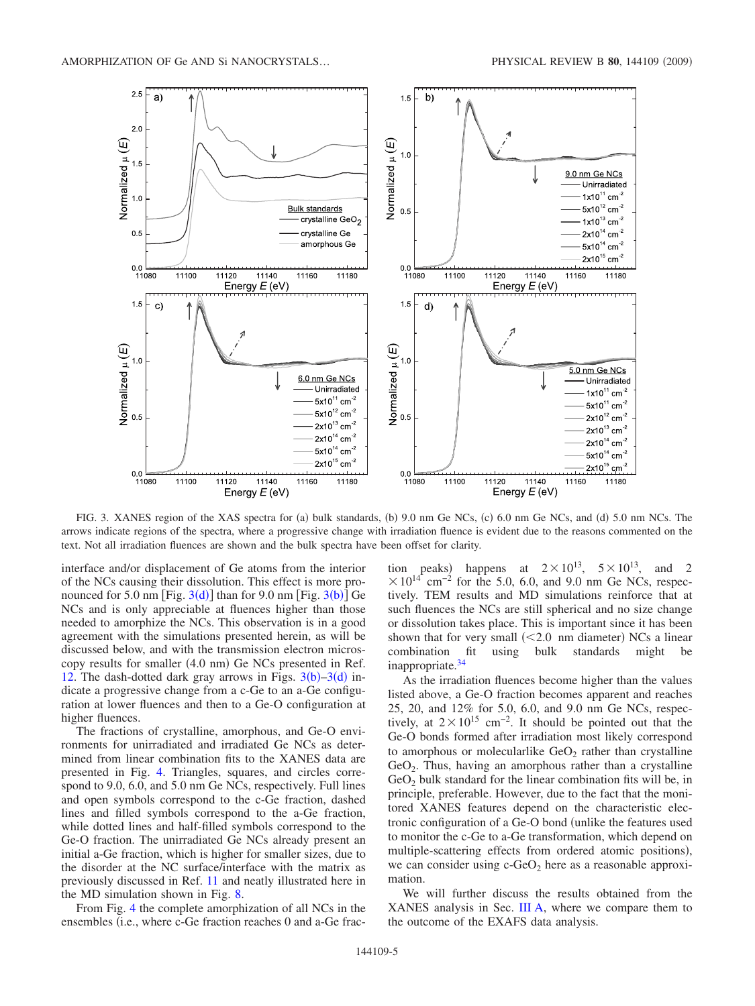<span id="page-4-0"></span>

FIG. 3. XANES region of the XAS spectra for (a) bulk standards, (b) 9.0 nm Ge NCs, (c) 6.0 nm Ge NCs, and (d) 5.0 nm NCs. The arrows indicate regions of the spectra, where a progressive change with irradiation fluence is evident due to the reasons commented on the text. Not all irradiation fluences are shown and the bulk spectra have been offset for clarity.

interface and/or displacement of Ge atoms from the interior of the NCs causing their dissolution. This effect is more pronounced for 5.0 nm [Fig.  $3(d)$  $3(d)$ ] than for 9.0 nm [Fig.  $3(b)$ ] Ge NCs and is only appreciable at fluences higher than those needed to amorphize the NCs. This observation is in a good agreement with the simulations presented herein, as will be discussed below, and with the transmission electron microscopy results for smaller (4.0 nm) Ge NCs presented in Ref. [12.](#page-11-11) The dash-dotted dark gray arrows in Figs.  $3(b) - 3(d)$  $3(b) - 3(d)$  indicate a progressive change from a c-Ge to an a-Ge configuration at lower fluences and then to a Ge-O configuration at higher fluences.

The fractions of crystalline, amorphous, and Ge-O environments for unirradiated and irradiated Ge NCs as determined from linear combination fits to the XANES data are presented in Fig. [4.](#page-5-0) Triangles, squares, and circles correspond to 9.0, 6.0, and 5.0 nm Ge NCs, respectively. Full lines and open symbols correspond to the c-Ge fraction, dashed lines and filled symbols correspond to the a-Ge fraction, while dotted lines and half-filled symbols correspond to the Ge-O fraction. The unirradiated Ge NCs already present an initial a-Ge fraction, which is higher for smaller sizes, due to the disorder at the NC surface/interface with the matrix as previously discussed in Ref. [11](#page-11-10) and neatly illustrated here in the MD simulation shown in Fig. [8.](#page-7-0)

From Fig. [4](#page-5-0) the complete amorphization of all NCs in the ensembles (i.e., where c-Ge fraction reaches 0 and a-Ge frac-

tion peaks) happens at  $2 \times 10^{13}$ ,  $5 \times 10^{13}$ , and 2  $\times$  10<sup>14</sup> cm<sup>-2</sup> for the 5.0, 6.0, and 9.0 nm Ge NCs, respectively. TEM results and MD simulations reinforce that at such fluences the NCs are still spherical and no size change or dissolution takes place. This is important since it has been shown that for very small  $(< 2.0$  nm diameter) NCs a linear combination fit using bulk standards might be inappropriate.<sup>34</sup>

As the irradiation fluences become higher than the values listed above, a Ge-O fraction becomes apparent and reaches 25, 20, and 12% for 5.0, 6.0, and 9.0 nm Ge NCs, respectively, at  $2 \times 10^{15}$  cm<sup>-2</sup>. It should be pointed out that the Ge-O bonds formed after irradiation most likely correspond to amorphous or molecularlike  $GeO<sub>2</sub>$  rather than crystalline  $GeO<sub>2</sub>$ . Thus, having an amorphous rather than a crystalline  $GeO<sub>2</sub>$  bulk standard for the linear combination fits will be, in principle, preferable. However, due to the fact that the monitored XANES features depend on the characteristic electronic configuration of a Ge-O bond (unlike the features used to monitor the c-Ge to a-Ge transformation, which depend on multiple-scattering effects from ordered atomic positions), we can consider using  $c$ -GeO<sub>2</sub> here as a reasonable approximation.

We will further discuss the results obtained from the XANES analysis in Sec. [III A,](#page-3-1) where we compare them to the outcome of the EXAFS data analysis.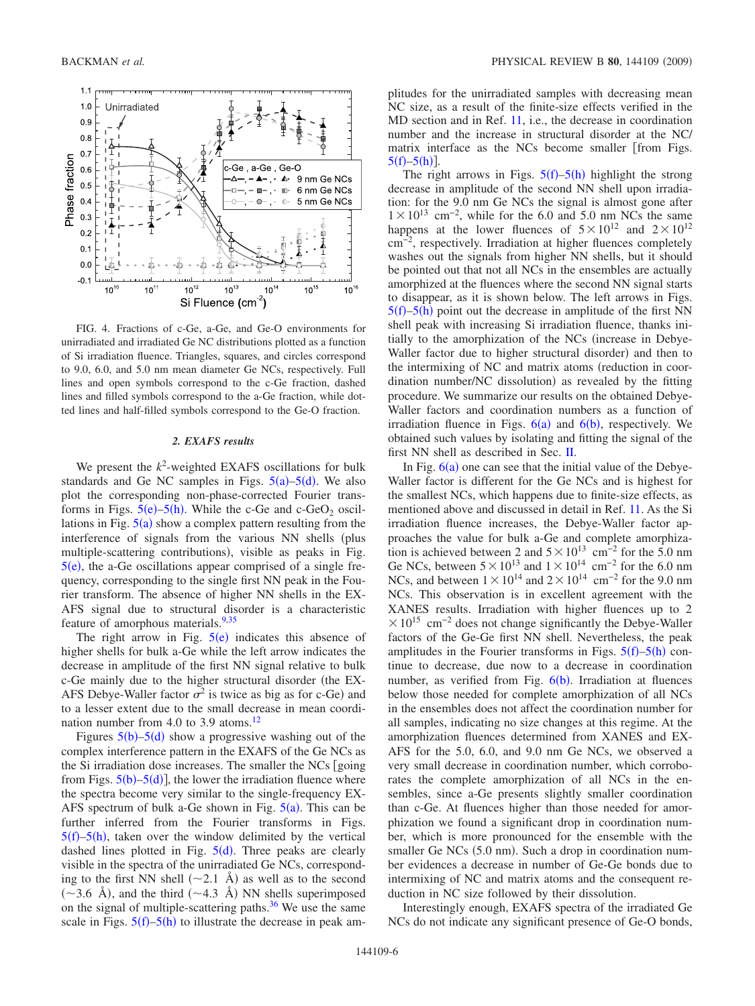<span id="page-5-0"></span>

FIG. 4. Fractions of c-Ge, a-Ge, and Ge-O environments for unirradiated and irradiated Ge NC distributions plotted as a function of Si irradiation fluence. Triangles, squares, and circles correspond to 9.0, 6.0, and 5.0 nm mean diameter Ge NCs, respectively. Full lines and open symbols correspond to the c-Ge fraction, dashed lines and filled symbols correspond to the a-Ge fraction, while dotted lines and half-filled symbols correspond to the Ge-O fraction.

### *2. EXAFS results*

We present the  $k^2$ -weighted EXAFS oscillations for bulk standards and Ge NC samples in Figs.  $5(a)$  $5(a)$ - $5(d)$ . We also plot the corresponding non-phase-corrected Fourier transforms in Figs.  $5(e)$  $5(e)$ [–5](#page-6-0)(h). While the c-Ge and c-GeO<sub>2</sub> oscillations in Fig.  $5(a)$  $5(a)$  show a complex pattern resulting from the interference of signals from the various NN shells (plus multiple-scattering contributions), visible as peaks in Fig.  $5(e)$  $5(e)$ , the a-Ge oscillations appear comprised of a single frequency, corresponding to the single first NN peak in the Fourier transform. The absence of higher NN shells in the EX-AFS signal due to structural disorder is a characteristic feature of amorphous materials.<sup>9[,35](#page-11-34)</sup>

The right arrow in Fig.  $5(e)$  $5(e)$  indicates this absence of higher shells for bulk a-Ge while the left arrow indicates the decrease in amplitude of the first NN signal relative to bulk c-Ge mainly due to the higher structural disorder (the EX-AFS Debye-Waller factor  $\sigma^2$  is twice as big as for c-Ge) and to a lesser extent due to the small decrease in mean coordination number from 4.0 to 3.9 atoms.<sup>12</sup>

Figures  $5(b)$  $5(b)$ - $5(d)$  show a progressive washing out of the complex interference pattern in the EXAFS of the Ge NCs as the Si irradiation dose increases. The smaller the NCs  $\lceil \text{going} \rceil$ from Figs.  $5(b)$  $5(b)$ – $5(d)$ ], the lower the irradiation fluence where the spectra become very similar to the single-frequency EX-AFS spectrum of bulk a-Ge shown in Fig.  $5(a)$  $5(a)$ . This can be further inferred from the Fourier transforms in Figs.  $5(f)$  $5(f)$ - $5(h)$ , taken over the window delimited by the vertical dashed lines plotted in Fig.  $5(d)$  $5(d)$ . Three peaks are clearly visible in the spectra of the unirradiated Ge NCs, corresponding to the first NN shell  $(\sim 2.1 \text{ Å})$  as well as to the second  $(\sim 3.6 \text{ Å})$ , and the third  $(\sim 4.3 \text{ Å})$  NN shells superimposed on the signal of multiple-scattering paths. $36$  We use the same scale in Figs.  $5(f)$  $5(f)$ – $5(h)$  to illustrate the decrease in peak amplitudes for the unirradiated samples with decreasing mean NC size, as a result of the finite-size effects verified in the MD section and in Ref. [11,](#page-11-10) i.e., the decrease in coordination number and the increase in structural disorder at the NC/ matrix interface as the NCs become smaller from Figs.  $5(f) - 5(h)$  $5(f) - 5(h)$ ].

The right arrows in Figs.  $5(f)$  $5(f)$ – $5(h)$  highlight the strong decrease in amplitude of the second NN shell upon irradiation: for the 9.0 nm Ge NCs the signal is almost gone after  $1 \times 10^{13}$  cm<sup>-2</sup>, while for the 6.0 and 5.0 nm NCs the same happens at the lower fluences of  $5 \times 10^{12}$  and  $2 \times 10^{12}$ cm−2, respectively. Irradiation at higher fluences completely washes out the signals from higher NN shells, but it should be pointed out that not all NCs in the ensembles are actually amorphized at the fluences where the second NN signal starts to disappear, as it is shown below. The left arrows in Figs.  $5(f)$  $5(f)$ – $5(h)$  point out the decrease in amplitude of the first NN shell peak with increasing Si irradiation fluence, thanks initially to the amorphization of the NCs (increase in Debye-Waller factor due to higher structural disorder) and then to the intermixing of NC and matrix atoms (reduction in coordination number/NC dissolution) as revealed by the fitting procedure. We summarize our results on the obtained Debye-Waller factors and coordination numbers as a function of irradiation fluence in Figs.  $6(a)$  $6(a)$  and  $6(b)$ , respectively. We obtained such values by isolating and fitting the signal of the first NN shell as described in Sec. [II.](#page-0-0)

In Fig.  $6(a)$  $6(a)$  one can see that the initial value of the Debye-Waller factor is different for the Ge NCs and is highest for the smallest NCs, which happens due to finite-size effects, as mentioned above and discussed in detail in Ref. [11.](#page-11-10) As the Si irradiation fluence increases, the Debye-Waller factor approaches the value for bulk a-Ge and complete amorphization is achieved between 2 and  $5 \times 10^{13}$  cm<sup>-2</sup> for the 5.0 nm Ge NCs, between  $5 \times 10^{13}$  and  $1 \times 10^{14}$  cm<sup>-2</sup> for the 6.0 nm NCs, and between  $1 \times 10^{14}$  and  $2 \times 10^{14}$  cm<sup>-2</sup> for the 9.0 nm NCs. This observation is in excellent agreement with the XANES results. Irradiation with higher fluences up to 2  $\times$  10<sup>15</sup> cm<sup>-2</sup> does not change significantly the Debye-Waller factors of the Ge-Ge first NN shell. Nevertheless, the peak amplitudes in the Fourier transforms in Figs.  $5(f)$  $5(f)$ – $5(h)$  continue to decrease, due now to a decrease in coordination number, as verified from Fig. [6](#page-7-1)(b). Irradiation at fluences below those needed for complete amorphization of all NCs in the ensembles does not affect the coordination number for all samples, indicating no size changes at this regime. At the amorphization fluences determined from XANES and EX-AFS for the 5.0, 6.0, and 9.0 nm Ge NCs, we observed a very small decrease in coordination number, which corroborates the complete amorphization of all NCs in the ensembles, since a-Ge presents slightly smaller coordination than c-Ge. At fluences higher than those needed for amorphization we found a significant drop in coordination number, which is more pronounced for the ensemble with the smaller Ge NCs (5.0 nm). Such a drop in coordination number evidences a decrease in number of Ge-Ge bonds due to intermixing of NC and matrix atoms and the consequent reduction in NC size followed by their dissolution.

Interestingly enough, EXAFS spectra of the irradiated Ge NCs do not indicate any significant presence of Ge-O bonds,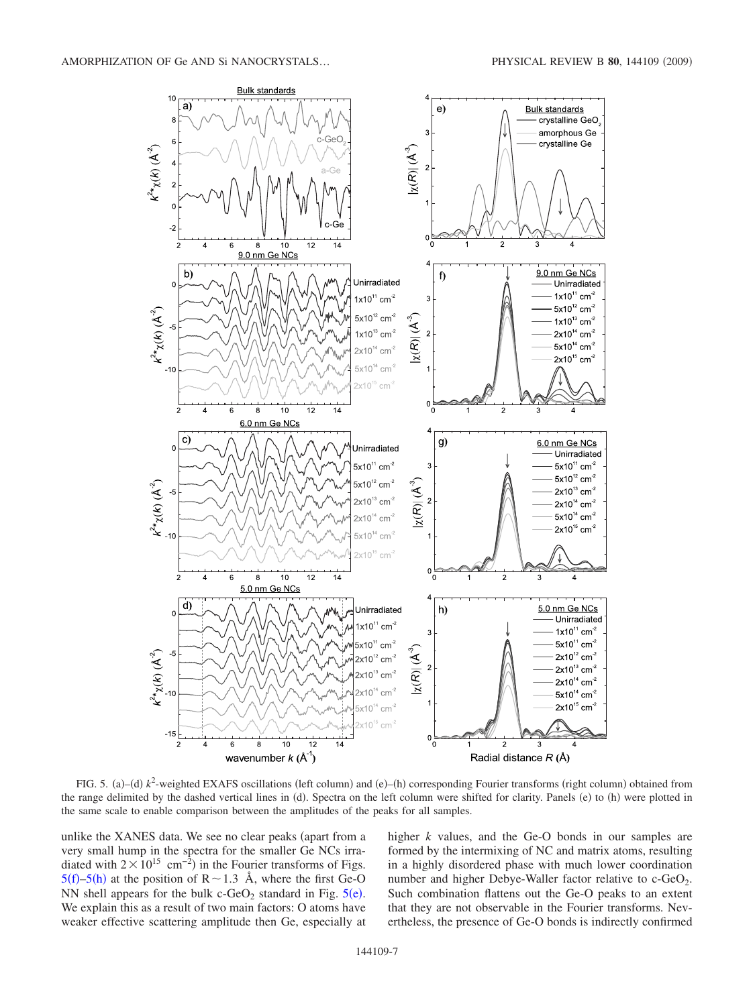<span id="page-6-0"></span>

FIG. 5. (a)–(d)  $k^2$ -weighted EXAFS oscillations (left column) and (e)–(h) corresponding Fourier transforms (right column) obtained from the range delimited by the dashed vertical lines in (d). Spectra on the left column were shifted for clarity. Panels (e) to (h) were plotted in the same scale to enable comparison between the amplitudes of the peaks for all samples.

unlike the XANES data. We see no clear peaks (apart from a very small hump in the spectra for the smaller Ge NCs irradiated with  $2 \times 10^{15}$  cm<sup>-2</sup>) in the Fourier transforms of Figs. [5](#page-6-0)(f)[–5](#page-6-0)(h) at the position of  $R \sim 1.3$  Å, where the first Ge-O NN shell appears for the bulk  $c$ -GeO<sub>2</sub> standard in Fig.  $5(e)$  $5(e)$ . We explain this as a result of two main factors: O atoms have weaker effective scattering amplitude then Ge, especially at higher *k* values, and the Ge-O bonds in our samples are formed by the intermixing of NC and matrix atoms, resulting in a highly disordered phase with much lower coordination number and higher Debye-Waller factor relative to c-GeO<sub>2</sub>. Such combination flattens out the Ge-O peaks to an extent that they are not observable in the Fourier transforms. Nevertheless, the presence of Ge-O bonds is indirectly confirmed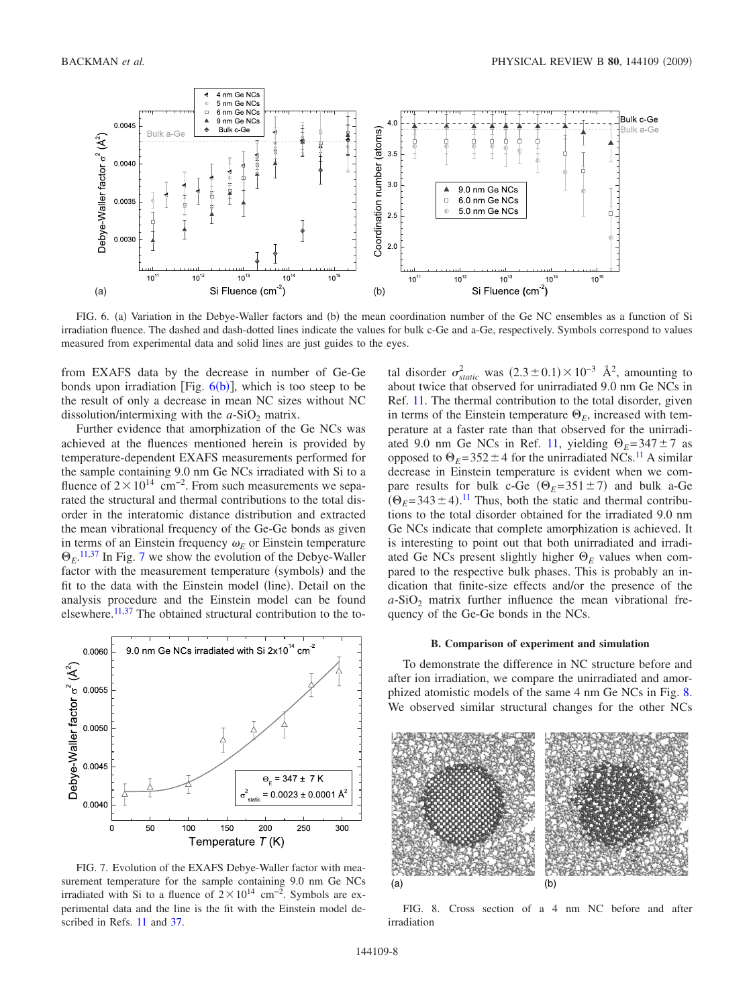<span id="page-7-1"></span>

FIG. 6. (a) Variation in the Debye-Waller factors and (b) the mean coordination number of the Ge NC ensembles as a function of Si irradiation fluence. The dashed and dash-dotted lines indicate the values for bulk c-Ge and a-Ge, respectively. Symbols correspond to values measured from experimental data and solid lines are just guides to the eyes.

from EXAFS data by the decrease in number of Ge-Ge bonds upon irradiation [Fig.  $6(b)$  $6(b)$ ], which is too steep to be the result of only a decrease in mean NC sizes without NC dissolution/intermixing with the  $a$ -SiO<sub>2</sub> matrix.

Further evidence that amorphization of the Ge NCs was achieved at the fluences mentioned herein is provided by temperature-dependent EXAFS measurements performed for the sample containing 9.0 nm Ge NCs irradiated with Si to a fluence of  $2 \times 10^{14}$  cm<sup>-2</sup>. From such measurements we separated the structural and thermal contributions to the total disorder in the interatomic distance distribution and extracted the mean vibrational frequency of the Ge-Ge bonds as given in terms of an Einstein frequency  $\omega_E$  or Einstein temperature  $\Theta_E$ .<sup>[11,](#page-11-10)[37](#page-11-36)</sup> In Fig. [7](#page-7-2) we show the evolution of the Debye-Waller factor with the measurement temperature (symbols) and the fit to the data with the Einstein model (line). Detail on the analysis procedure and the Einstein model can be found elsewhere.<sup>11,[37](#page-11-36)</sup> The obtained structural contribution to the to-

<span id="page-7-2"></span>

FIG. 7. Evolution of the EXAFS Debye-Waller factor with measurement temperature for the sample containing 9.0 nm Ge NCs irradiated with Si to a fluence of  $2 \times 10^{14}$  cm<sup>-2</sup>. Symbols are experimental data and the line is the fit with the Einstein model described in Refs. [11](#page-11-10) and [37.](#page-11-36)

tal disorder  $\sigma_{static}^2$  was  $(2.3 \pm 0.1) \times 10^{-3}$  Å<sup>2</sup>, amounting to about twice that observed for unirradiated 9.0 nm Ge NCs in Ref. [11.](#page-11-10) The thermal contribution to the total disorder, given in terms of the Einstein temperature  $\Theta_E$ , increased with temperature at a faster rate than that observed for the unirradi-ated 9.0 nm Ge NCs in Ref. [11,](#page-11-10) yielding  $\Theta_F = 347 \pm 7$  as opposed to  $\Theta_E = 352 \pm 4$  for the unirradiated NCs.<sup>11</sup> A similar decrease in Einstein temperature is evident when we compare results for bulk c-Ge  $(\Theta_E = 351 \pm 7)$  and bulk a-Ge  $(\Theta_E = 343 \pm 4)$ .<sup>[11](#page-11-10)</sup> Thus, both the static and thermal contributions to the total disorder obtained for the irradiated 9.0 nm Ge NCs indicate that complete amorphization is achieved. It is interesting to point out that both unirradiated and irradiated Ge NCs present slightly higher  $\Theta_E$  values when compared to the respective bulk phases. This is probably an indication that finite-size effects and/or the presence of the  $a-SiO<sub>2</sub>$  matrix further influence the mean vibrational frequency of the Ge-Ge bonds in the NCs.

### **B. Comparison of experiment and simulation**

To demonstrate the difference in NC structure before and after ion irradiation, we compare the unirradiated and amorphized atomistic models of the same 4 nm Ge NCs in Fig. [8.](#page-7-0) We observed similar structural changes for the other NCs

<span id="page-7-0"></span>

FIG. 8. Cross section of a 4 nm NC before and after irradiation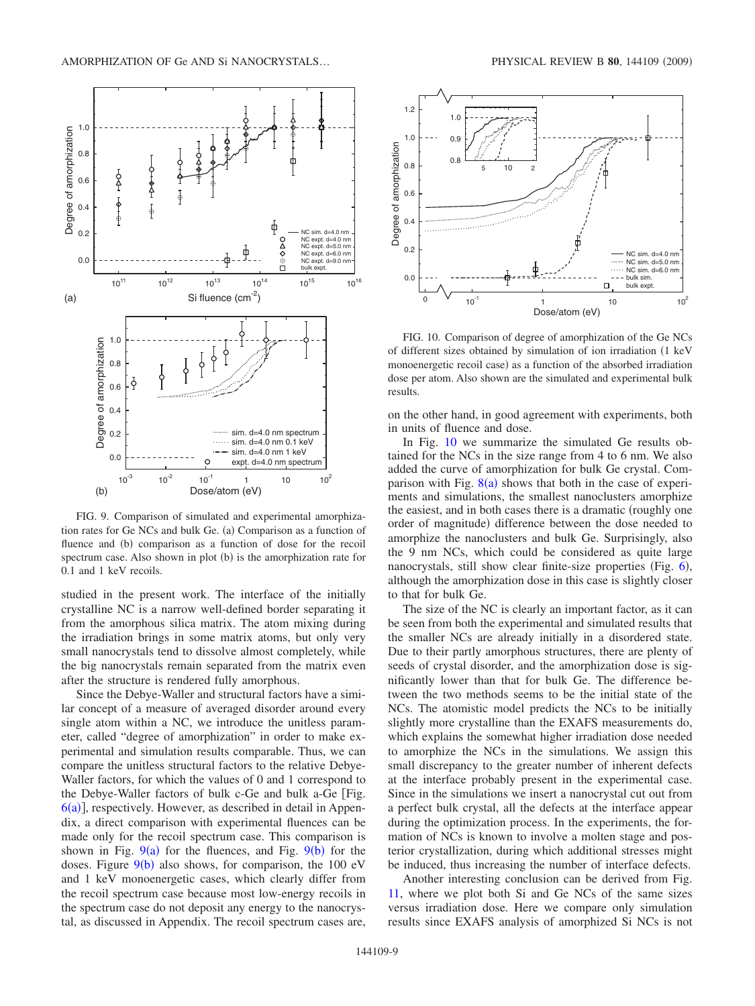<span id="page-8-0"></span>

FIG. 9. Comparison of simulated and experimental amorphization rates for Ge NCs and bulk Ge. (a) Comparison as a function of fluence and (b) comparison as a function of dose for the recoil spectrum case. Also shown in plot (b) is the amorphization rate for 0.1 and 1 keV recoils.

studied in the present work. The interface of the initially crystalline NC is a narrow well-defined border separating it from the amorphous silica matrix. The atom mixing during the irradiation brings in some matrix atoms, but only very small nanocrystals tend to dissolve almost completely, while the big nanocrystals remain separated from the matrix even after the structure is rendered fully amorphous.

Since the Debye-Waller and structural factors have a similar concept of a measure of averaged disorder around every single atom within a NC, we introduce the unitless parameter, called "degree of amorphization" in order to make experimental and simulation results comparable. Thus, we can compare the unitless structural factors to the relative Debye-Waller factors, for which the values of 0 and 1 correspond to the Debye-Waller factors of bulk c-Ge and bulk a-Ge Fig. [6](#page-7-1)(a)], respectively. However, as described in detail in Appendix, a direct comparison with experimental fluences can be made only for the recoil spectrum case. This comparison is shown in Fig.  $9(a)$  $9(a)$  for the fluences, and Fig.  $9(b)$  $9(b)$  $9(b)$  for the doses. Figure  $9(b)$  $9(b)$  also shows, for comparison, the 100 eV and 1 keV monoenergetic cases, which clearly differ from the recoil spectrum case because most low-energy recoils in the spectrum case do not deposit any energy to the nanocrystal, as discussed in Appendix. The recoil spectrum cases are,

<span id="page-8-1"></span>

FIG. 10. Comparison of degree of amorphization of the Ge NCs of different sizes obtained by simulation of ion irradiation (1 keV monoenergetic recoil case) as a function of the absorbed irradiation dose per atom. Also shown are the simulated and experimental bulk results.

on the other hand, in good agreement with experiments, both in units of fluence and dose.

In Fig. [10](#page-8-1) we summarize the simulated Ge results obtained for the NCs in the size range from 4 to 6 nm. We also added the curve of amorphization for bulk Ge crystal. Comparison with Fig.  $8(a)$  $8(a)$  shows that both in the case of experiments and simulations, the smallest nanoclusters amorphize the easiest, and in both cases there is a dramatic (roughly one order of magnitude) difference between the dose needed to amorphize the nanoclusters and bulk Ge. Surprisingly, also the 9 nm NCs, which could be considered as quite large nanocrystals, still show clear finite-size properties (Fig. [6](#page-7-1)), although the amorphization dose in this case is slightly closer to that for bulk Ge.

The size of the NC is clearly an important factor, as it can be seen from both the experimental and simulated results that the smaller NCs are already initially in a disordered state. Due to their partly amorphous structures, there are plenty of seeds of crystal disorder, and the amorphization dose is significantly lower than that for bulk Ge. The difference between the two methods seems to be the initial state of the NCs. The atomistic model predicts the NCs to be initially slightly more crystalline than the EXAFS measurements do, which explains the somewhat higher irradiation dose needed to amorphize the NCs in the simulations. We assign this small discrepancy to the greater number of inherent defects at the interface probably present in the experimental case. Since in the simulations we insert a nanocrystal cut out from a perfect bulk crystal, all the defects at the interface appear during the optimization process. In the experiments, the formation of NCs is known to involve a molten stage and posterior crystallization, during which additional stresses might be induced, thus increasing the number of interface defects.

Another interesting conclusion can be derived from Fig. [11,](#page-9-0) where we plot both Si and Ge NCs of the same sizes versus irradiation dose. Here we compare only simulation results since EXAFS analysis of amorphized Si NCs is not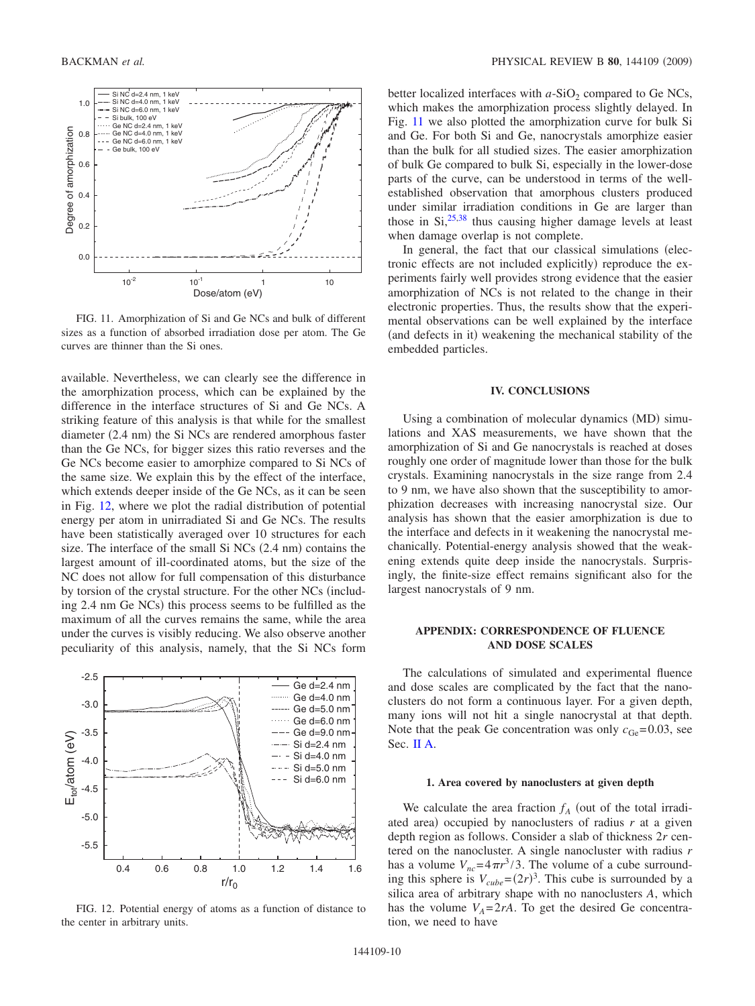<span id="page-9-0"></span>

FIG. 11. Amorphization of Si and Ge NCs and bulk of different sizes as a function of absorbed irradiation dose per atom. The Ge curves are thinner than the Si ones.

available. Nevertheless, we can clearly see the difference in the amorphization process, which can be explained by the difference in the interface structures of Si and Ge NCs. A striking feature of this analysis is that while for the smallest diameter (2.4 nm) the Si NCs are rendered amorphous faster than the Ge NCs, for bigger sizes this ratio reverses and the Ge NCs become easier to amorphize compared to Si NCs of the same size. We explain this by the effect of the interface, which extends deeper inside of the Ge NCs, as it can be seen in Fig. [12,](#page-9-1) where we plot the radial distribution of potential energy per atom in unirradiated Si and Ge NCs. The results have been statistically averaged over 10 structures for each size. The interface of the small Si NCs  $(2.4 \text{ nm})$  contains the largest amount of ill-coordinated atoms, but the size of the NC does not allow for full compensation of this disturbance by torsion of the crystal structure. For the other NCs (including 2.4 nm Ge NCs) this process seems to be fulfilled as the maximum of all the curves remains the same, while the area under the curves is visibly reducing. We also observe another peculiarity of this analysis, namely, that the Si NCs form

<span id="page-9-1"></span>

FIG. 12. Potential energy of atoms as a function of distance to the center in arbitrary units.

better localized interfaces with  $a$ -SiO<sub>2</sub> compared to Ge NCs, which makes the amorphization process slightly delayed. In Fig. [11](#page-9-0) we also plotted the amorphization curve for bulk Si and Ge. For both Si and Ge, nanocrystals amorphize easier than the bulk for all studied sizes. The easier amorphization of bulk Ge compared to bulk Si, especially in the lower-dose parts of the curve, can be understood in terms of the wellestablished observation that amorphous clusters produced under similar irradiation conditions in Ge are larger than those in  $Si<sub>1</sub><sup>25,38</sup>$  $Si<sub>1</sub><sup>25,38</sup>$  $Si<sub>1</sub><sup>25,38</sup>$  thus causing higher damage levels at least when damage overlap is not complete.

In general, the fact that our classical simulations (electronic effects are not included explicitly) reproduce the experiments fairly well provides strong evidence that the easier amorphization of NCs is not related to the change in their electronic properties. Thus, the results show that the experimental observations can be well explained by the interface (and defects in it) weakening the mechanical stability of the embedded particles.

### **IV. CONCLUSIONS**

Using a combination of molecular dynamics (MD) simulations and XAS measurements, we have shown that the amorphization of Si and Ge nanocrystals is reached at doses roughly one order of magnitude lower than those for the bulk crystals. Examining nanocrystals in the size range from 2.4 to 9 nm, we have also shown that the susceptibility to amorphization decreases with increasing nanocrystal size. Our analysis has shown that the easier amorphization is due to the interface and defects in it weakening the nanocrystal mechanically. Potential-energy analysis showed that the weakening extends quite deep inside the nanocrystals. Surprisingly, the finite-size effect remains significant also for the largest nanocrystals of 9 nm.

### **APPENDIX: CORRESPONDENCE OF FLUENCE AND DOSE SCALES**

The calculations of simulated and experimental fluence and dose scales are complicated by the fact that the nanoclusters do not form a continuous layer. For a given depth, many ions will not hit a single nanocrystal at that depth. Note that the peak Ge concentration was only  $c_{Ge} = 0.03$ , see Sec. [II A.](#page-0-1)

### **1. Area covered by nanoclusters at given depth**

We calculate the area fraction  $f_A$  (out of the total irradiated area) occupied by nanoclusters of radius  $r$  at a given depth region as follows. Consider a slab of thickness 2*r* centered on the nanocluster. A single nanocluster with radius *r* has a volume  $V_{nc} = 4\pi r^3/3$ . The volume of a cube surrounding this sphere is  $V_{cube} = (2r)^3$ . This cube is surrounded by a silica area of arbitrary shape with no nanoclusters *A*, which has the volume  $V_A = 2rA$ . To get the desired Ge concentration, we need to have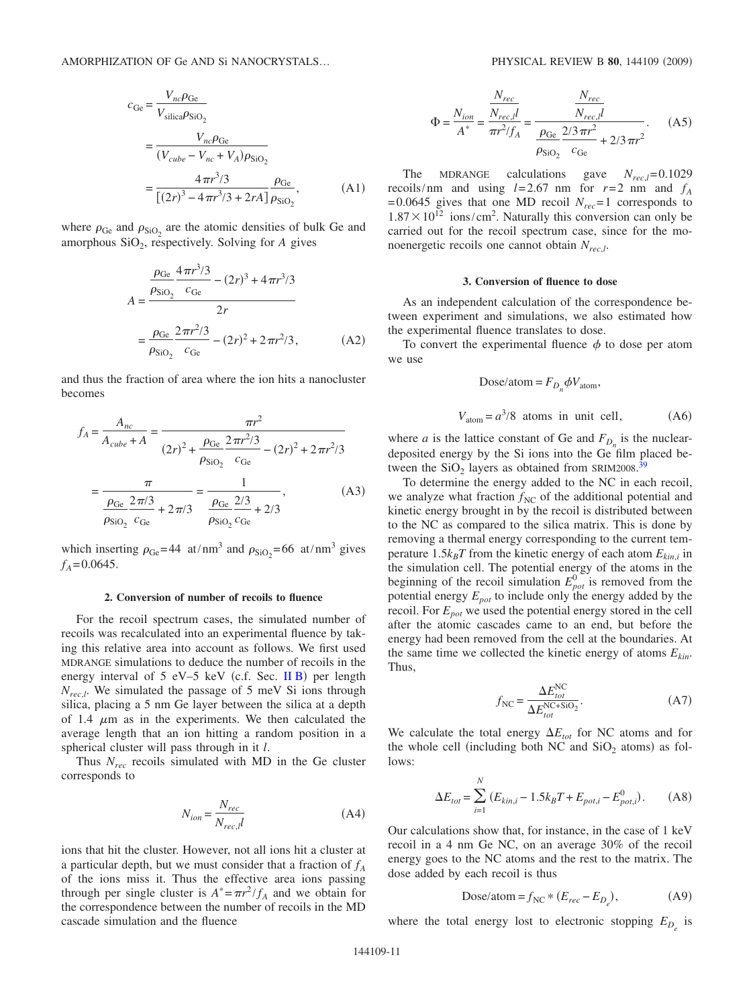$$
c_{\text{Ge}} = \frac{V_{nc}\rho_{\text{Ge}}}{V_{\text{silica}}\rho_{\text{SiO}_2}}
$$
  
= 
$$
\frac{V_{nc}\rho_{\text{Ge}}}{(V_{cube} - V_{nc} + V_A)\rho_{\text{SiO}_2}}
$$
  
= 
$$
\frac{4\pi r^3/3}{[(2r)^3 - 4\pi r^3/3 + 2rA]}\frac{\rho_{\text{Ge}}}{\rho_{\text{SiO}_2}},
$$
(A1)

where  $\rho_{\text{Ge}}$  and  $\rho_{\text{SiO}_2}$  are the atomic densities of bulk Ge and amorphous  $SiO<sub>2</sub>$ , respectively. Solving for *A* gives

$$
A = \frac{\frac{\rho_{\text{Ge}}}{\rho_{\text{SiO}_2}} \frac{4\pi r^3/3}{c_{\text{Ge}}} - (2r)^3 + 4\pi r^3/3}{2r}
$$

$$
= \frac{\rho_{\text{Ge}}}{\rho_{\text{SiO}_2}} \frac{2\pi r^2/3}{c_{\text{Ge}}} - (2r)^2 + 2\pi r^2/3,
$$
(A2)

and thus the fraction of area where the ion hits a nanocluster becomes

$$
f_A = \frac{A_{nc}}{A_{cube} + A} = \frac{\pi r^2}{(2r)^2 + \frac{\rho_{Ge}}{\rho_{SiO_2}} \frac{2\pi r^2/3}{c_{Ge}} - (2r)^2 + 2\pi r^2/3}
$$

$$
= \frac{\pi}{\frac{\rho_{Ge}}{\rho_{SiO_2}} \frac{2\pi/3}{c_{Ge}} + 2\pi/3} = \frac{1}{\frac{\rho_{Ge}}{\rho_{SiO_2}} \frac{2/3}{c_{Ge}} + 2/3},
$$
(A3)

which inserting  $\rho_{\text{Ge}} = 44$  at/nm<sup>3</sup> and  $\rho_{\text{SiO}_2} = 66$  at/nm<sup>3</sup> gives  $f_A = 0.0645$ .

### **2. Conversion of number of recoils to fluence**

For the recoil spectrum cases, the simulated number of recoils was recalculated into an experimental fluence by taking this relative area into account as follows. We first used MDRANGE simulations to deduce the number of recoils in the energy interval of 5 eV-5 keV (c.f. Sec.  $\Pi B$ ) per length *Nrec*,*<sup>l</sup>* . We simulated the passage of 5 meV Si ions through silica, placing a 5 nm Ge layer between the silica at a depth of 1.4  $\mu$ m as in the experiments. We then calculated the average length that an ion hitting a random position in a spherical cluster will pass through in it *l*.

Thus *Nrec* recoils simulated with MD in the Ge cluster corresponds to

$$
N_{ion} = \frac{N_{rec}}{N_{rec,l}l}
$$
 (A4)

ions that hit the cluster. However, not all ions hit a cluster at a particular depth, but we must consider that a fraction of  $f_A$ of the ions miss it. Thus the effective area ions passing through per single cluster is  $A^* = \pi r^2 / f_A$  and we obtain for the correspondence between the number of recoils in the MD cascade simulation and the fluence

$$
\Phi = \frac{N_{ion}}{A^*} = \frac{\frac{N_{rec}}{N_{rec,l}l}}{\pi r^2/f_A} = \frac{\frac{N_{rec}}{N_{rec,l}l}}{\frac{\rho_{\text{Ge}}}{\rho_{\text{SiO}_2}} \frac{2/3 \pi r^2}{c_{\text{Ge}}}} + 2/3 \pi r^2}.
$$
 (A5)

The MDRANGE calculations gave  $N_{rec,l}$ = 0.1029 recoils/nm and using  $l=2.67$  nm for  $r=2$  nm and  $f_A$  $= 0.0645$  gives that one MD recoil  $N_{rec} = 1$  corresponds to  $1.87 \times 10^{12}$  ions/cm<sup>2</sup>. Naturally this conversion can only be carried out for the recoil spectrum case, since for the monoenergetic recoils one cannot obtain *Nrec*,*<sup>l</sup>* .

#### **3. Conversion of fluence to dose**

As an independent calculation of the correspondence between experiment and simulations, we also estimated how the experimental fluence translates to dose.

To convert the experimental fluence  $\phi$  to dose per atom we use

Dose/atom = 
$$
F_{D_n} \phi V_{\text{atom}}
$$
,  
\n $V_{\text{atom}} = a^3/8$  atoms in unit cell, (A6)

where *a* is the lattice constant of Ge and  $F_{D_n}$  is the nucleardeposited energy by the Si ions into the Ge film placed between the  $SiO_2$  layers as obtained from SRIM2008.<sup>[39](#page-11-38)</sup>

To determine the energy added to the NC in each recoil, we analyze what fraction  $f_{NC}$  of the additional potential and kinetic energy brought in by the recoil is distributed between to the NC as compared to the silica matrix. This is done by removing a thermal energy corresponding to the current temperature 1.5 $k_B T$  from the kinetic energy of each atom  $E_{kin}$ *i* in the simulation cell. The potential energy of the atoms in the beginning of the recoil simulation  $E_{pot}^{0}$  is removed from the potential energy  $E_{pot}$  to include only the energy added by the recoil. For  $E_{pot}$  we used the potential energy stored in the cell after the atomic cascades came to an end, but before the energy had been removed from the cell at the boundaries. At the same time we collected the kinetic energy of atoms  $E_{kin}$ . Thus,

$$
f_{\rm NC} = \frac{\Delta E_{tot}^{\rm NC}}{\Delta E_{tot}^{\rm NC+SiO_2}}.\tag{A7}
$$

We calculate the total energy  $\Delta E_{tot}$  for NC atoms and for the whole cell (including both NC and  $SiO<sub>2</sub>$  atoms) as follows:

$$
\Delta E_{tot} = \sum_{i=1}^{N} (E_{kin,i} - 1.5k_B T + E_{pot,i} - E_{pot,i}^0). \tag{A8}
$$

Our calculations show that, for instance, in the case of 1 keV recoil in a 4 nm Ge NC, on an average 30% of the recoil energy goes to the NC atoms and the rest to the matrix. The dose added by each recoil is thus

$$
Dose/atom = f_{NC} * (E_{rec} - E_{D_e}),
$$
 (A9)

where the total energy lost to electronic stopping  $E_{D_e}$  is